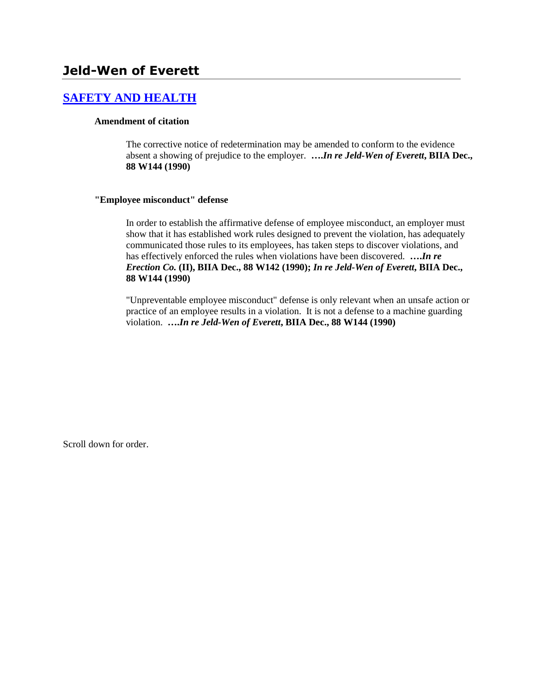# **Jeld-Wen of Everett**

## **[SAFETY AND HEALTH](http://www.biia.wa.gov/SDSubjectIndex.html#SAFETY_AND_HEALTH)**

#### **Amendment of citation**

The corrective notice of redetermination may be amended to conform to the evidence absent a showing of prejudice to the employer. **….***In re Jeld-Wen of Everett***, BIIA Dec., 88 W144 (1990)** 

#### **"Employee misconduct" defense**

In order to establish the affirmative defense of employee misconduct, an employer must show that it has established work rules designed to prevent the violation, has adequately communicated those rules to its employees, has taken steps to discover violations, and has effectively enforced the rules when violations have been discovered. **….***In re Erection Co.* **(II), BIIA Dec., 88 W142 (1990);** *In re Jeld-Wen of Everett***, BIIA Dec., 88 W144 (1990)**

"Unpreventable employee misconduct" defense is only relevant when an unsafe action or practice of an employee results in a violation. It is not a defense to a machine guarding violation. **….***In re Jeld-Wen of Everett***, BIIA Dec., 88 W144 (1990)**

Scroll down for order.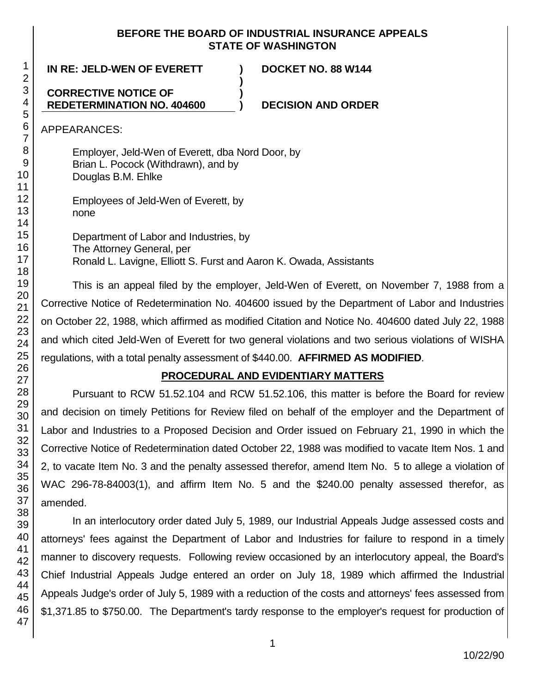### **BEFORE THE BOARD OF INDUSTRIAL INSURANCE APPEALS STATE OF WASHINGTON**

**)**

**)**

**IN RE: JELD-WEN OF EVERETT ) DOCKET NO. 88 W144**

## **CORRECTIVE NOTICE OF REDETERMINATION NO. 404600**

**) DECISION AND ORDER**

APPEARANCES:

Employer, Jeld-Wen of Everett, dba Nord Door, by Brian L. Pocock (Withdrawn), and by Douglas B.M. Ehlke

Employees of Jeld-Wen of Everett, by none

Department of Labor and Industries, by The Attorney General, per Ronald L. Lavigne, Elliott S. Furst and Aaron K. Owada, Assistants

This is an appeal filed by the employer, Jeld-Wen of Everett, on November 7, 1988 from a Corrective Notice of Redetermination No. 404600 issued by the Department of Labor and Industries on October 22, 1988, which affirmed as modified Citation and Notice No. 404600 dated July 22, 1988 and which cited Jeld-Wen of Everett for two general violations and two serious violations of WISHA regulations, with a total penalty assessment of \$440.00. **AFFIRMED AS MODIFIED**.

# **PROCEDURAL AND EVIDENTIARY MATTERS**

Pursuant to RCW 51.52.104 and RCW 51.52.106, this matter is before the Board for review and decision on timely Petitions for Review filed on behalf of the employer and the Department of Labor and Industries to a Proposed Decision and Order issued on February 21, 1990 in which the Corrective Notice of Redetermination dated October 22, 1988 was modified to vacate Item Nos. 1 and 2, to vacate Item No. 3 and the penalty assessed therefor, amend Item No. 5 to allege a violation of WAC 296-78-84003(1), and affirm Item No. 5 and the \$240.00 penalty assessed therefor, as amended.

In an interlocutory order dated July 5, 1989, our Industrial Appeals Judge assessed costs and attorneys' fees against the Department of Labor and Industries for failure to respond in a timely manner to discovery requests. Following review occasioned by an interlocutory appeal, the Board's Chief Industrial Appeals Judge entered an order on July 18, 1989 which affirmed the Industrial Appeals Judge's order of July 5, 1989 with a reduction of the costs and attorneys' fees assessed from \$1,371.85 to \$750.00. The Department's tardy response to the employer's request for production of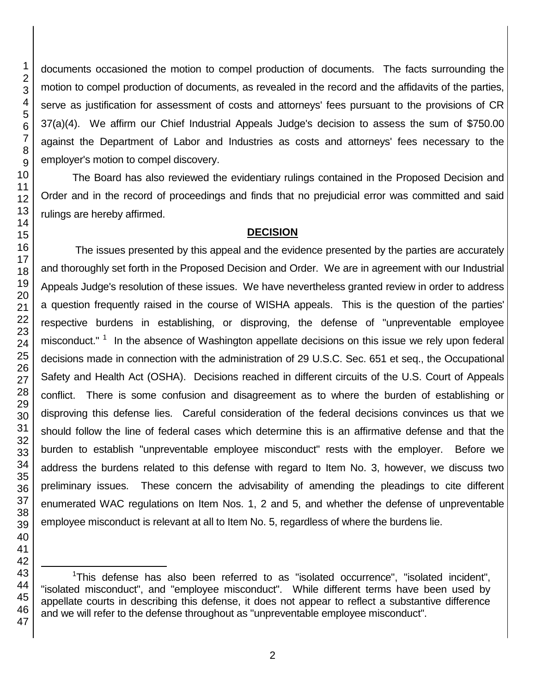documents occasioned the motion to compel production of documents. The facts surrounding the motion to compel production of documents, as revealed in the record and the affidavits of the parties, serve as justification for assessment of costs and attorneys' fees pursuant to the provisions of CR 37(a)(4). We affirm our Chief Industrial Appeals Judge's decision to assess the sum of \$750.00 against the Department of Labor and Industries as costs and attorneys' fees necessary to the employer's motion to compel discovery.

The Board has also reviewed the evidentiary rulings contained in the Proposed Decision and Order and in the record of proceedings and finds that no prejudicial error was committed and said rulings are hereby affirmed.

#### **DECISION**

The issues presented by this appeal and the evidence presented by the parties are accurately and thoroughly set forth in the Proposed Decision and Order. We are in agreement with our Industrial Appeals Judge's resolution of these issues. We have nevertheless granted review in order to address a question frequently raised in the course of WISHA appeals. This is the question of the parties' respective burdens in establishing, or disproving, the defense of "unpreventable employee misconduct." <sup>1</sup> In the absence of Washington appellate decisions on this issue we rely upon federal decisions made in connection with the administration of 29 U.S.C. Sec. 651 et seq., the Occupational Safety and Health Act (OSHA). Decisions reached in different circuits of the U.S. Court of Appeals conflict. There is some confusion and disagreement as to where the burden of establishing or disproving this defense lies. Careful consideration of the federal decisions convinces us that we should follow the line of federal cases which determine this is an affirmative defense and that the burden to establish "unpreventable employee misconduct" rests with the employer. Before we address the burdens related to this defense with regard to Item No. 3, however, we discuss two preliminary issues. These concern the advisability of amending the pleadings to cite different enumerated WAC regulations on Item Nos. 1, 2 and 5, and whether the defense of unpreventable employee misconduct is relevant at all to Item No. 5, regardless of where the burdens lie.

<sup>1</sup>This defense has also been referred to as "isolated occurrence", "isolated incident", "isolated misconduct", and "employee misconduct". While different terms have been used by appellate courts in describing this defense, it does not appear to reflect a substantive difference and we will refer to the defense throughout as "unpreventable employee misconduct".

l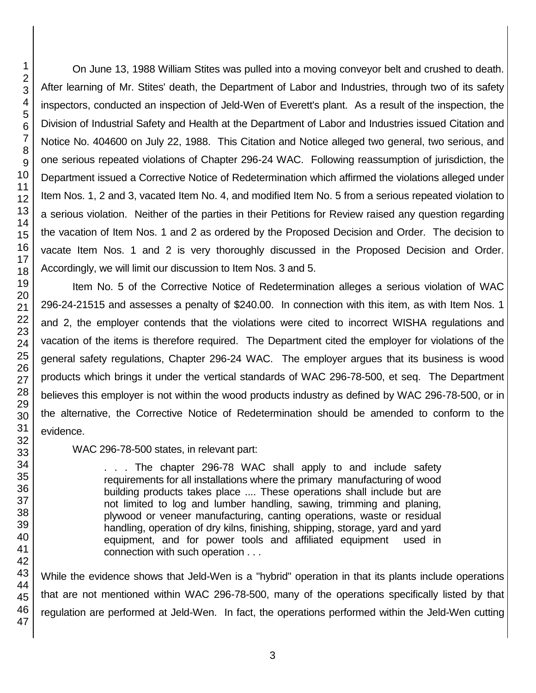On June 13, 1988 William Stites was pulled into a moving conveyor belt and crushed to death. After learning of Mr. Stites' death, the Department of Labor and Industries, through two of its safety inspectors, conducted an inspection of Jeld-Wen of Everett's plant. As a result of the inspection, the Division of Industrial Safety and Health at the Department of Labor and Industries issued Citation and Notice No. 404600 on July 22, 1988. This Citation and Notice alleged two general, two serious, and one serious repeated violations of Chapter 296-24 WAC. Following reassumption of jurisdiction, the Department issued a Corrective Notice of Redetermination which affirmed the violations alleged under Item Nos. 1, 2 and 3, vacated Item No. 4, and modified Item No. 5 from a serious repeated violation to a serious violation. Neither of the parties in their Petitions for Review raised any question regarding the vacation of Item Nos. 1 and 2 as ordered by the Proposed Decision and Order. The decision to vacate Item Nos. 1 and 2 is very thoroughly discussed in the Proposed Decision and Order. Accordingly, we will limit our discussion to Item Nos. 3 and 5.

Item No. 5 of the Corrective Notice of Redetermination alleges a serious violation of WAC 296-24-21515 and assesses a penalty of \$240.00. In connection with this item, as with Item Nos. 1 and 2, the employer contends that the violations were cited to incorrect WISHA regulations and vacation of the items is therefore required. The Department cited the employer for violations of the general safety regulations, Chapter 296-24 WAC. The employer argues that its business is wood products which brings it under the vertical standards of WAC 296-78-500, et seq. The Department believes this employer is not within the wood products industry as defined by WAC 296-78-500, or in the alternative, the Corrective Notice of Redetermination should be amended to conform to the evidence.

WAC 296-78-500 states, in relevant part:

. . . The chapter 296-78 WAC shall apply to and include safety requirements for all installations where the primary manufacturing of wood building products takes place .... These operations shall include but are not limited to log and lumber handling, sawing, trimming and planing, plywood or veneer manufacturing, canting operations, waste or residual handling, operation of dry kilns, finishing, shipping, storage, yard and yard equipment, and for power tools and affiliated equipment used in connection with such operation . . .

While the evidence shows that Jeld-Wen is a "hybrid" operation in that its plants include operations that are not mentioned within WAC 296-78-500, many of the operations specifically listed by that regulation are performed at Jeld-Wen. In fact, the operations performed within the Jeld-Wen cutting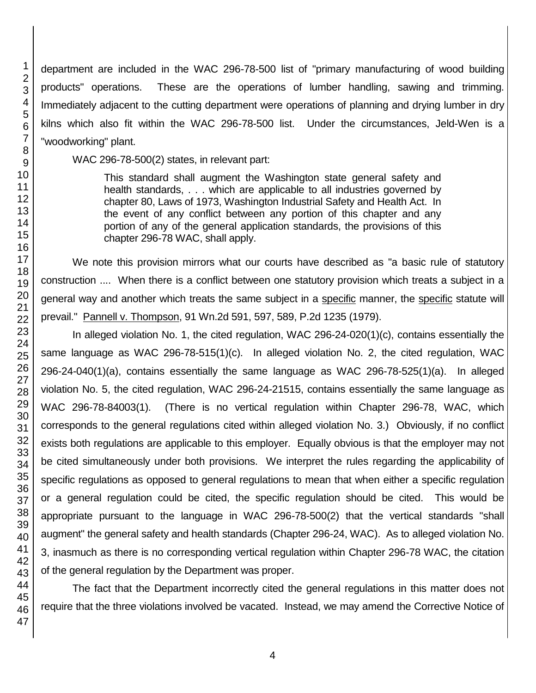department are included in the WAC 296-78-500 list of "primary manufacturing of wood building products" operations. These are the operations of lumber handling, sawing and trimming. Immediately adjacent to the cutting department were operations of planning and drying lumber in dry kilns which also fit within the WAC 296-78-500 list. Under the circumstances, Jeld-Wen is a "woodworking" plant.

WAC 296-78-500(2) states, in relevant part:

This standard shall augment the Washington state general safety and health standards, . . . which are applicable to all industries governed by chapter 80, Laws of 1973, Washington Industrial Safety and Health Act. In the event of any conflict between any portion of this chapter and any portion of any of the general application standards, the provisions of this chapter 296-78 WAC, shall apply.

We note this provision mirrors what our courts have described as "a basic rule of statutory construction .... When there is a conflict between one statutory provision which treats a subject in a general way and another which treats the same subject in a specific manner, the specific statute will prevail." Pannell v. Thompson, 91 Wn.2d 591, 597, 589, P.2d 1235 (1979).

In alleged violation No. 1, the cited regulation, WAC 296-24-020(1)(c), contains essentially the same language as WAC 296-78-515(1)(c). In alleged violation No. 2, the cited regulation, WAC 296-24-040(1)(a), contains essentially the same language as WAC 296-78-525(1)(a). In alleged violation No. 5, the cited regulation, WAC 296-24-21515, contains essentially the same language as WAC 296-78-84003(1). (There is no vertical regulation within Chapter 296-78, WAC, which corresponds to the general regulations cited within alleged violation No. 3.) Obviously, if no conflict exists both regulations are applicable to this employer. Equally obvious is that the employer may not be cited simultaneously under both provisions. We interpret the rules regarding the applicability of specific regulations as opposed to general regulations to mean that when either a specific regulation or a general regulation could be cited, the specific regulation should be cited. This would be appropriate pursuant to the language in WAC 296-78-500(2) that the vertical standards "shall augment" the general safety and health standards (Chapter 296-24, WAC). As to alleged violation No. 3, inasmuch as there is no corresponding vertical regulation within Chapter 296-78 WAC, the citation of the general regulation by the Department was proper.

The fact that the Department incorrectly cited the general regulations in this matter does not require that the three violations involved be vacated. Instead, we may amend the Corrective Notice of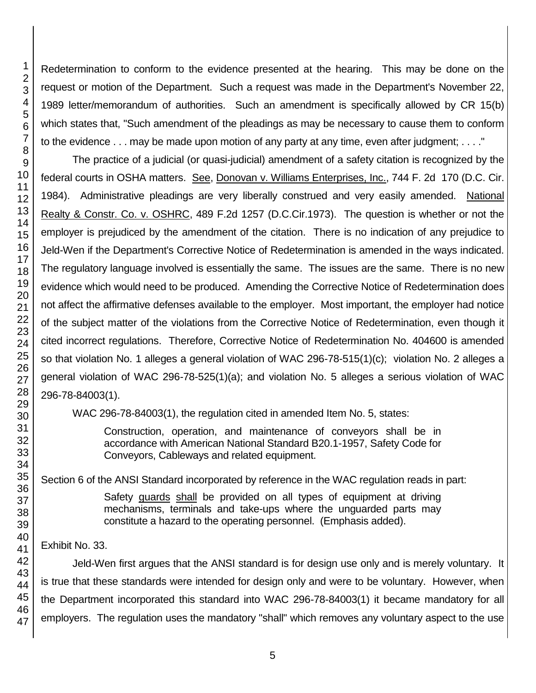47

1 2 3

Redetermination to conform to the evidence presented at the hearing. This may be done on the request or motion of the Department. Such a request was made in the Department's November 22, 1989 letter/memorandum of authorities. Such an amendment is specifically allowed by CR 15(b) which states that, "Such amendment of the pleadings as may be necessary to cause them to conform to the evidence . . . may be made upon motion of any party at any time, even after judgment; . . . ."

The practice of a judicial (or quasi-judicial) amendment of a safety citation is recognized by the federal courts in OSHA matters. See, Donovan v. Williams Enterprises, Inc., 744 F. 2d 170 (D.C. Cir. 1984). Administrative pleadings are very liberally construed and very easily amended. National Realty & Constr. Co. v. OSHRC, 489 F.2d 1257 (D.C.Cir.1973). The question is whether or not the employer is prejudiced by the amendment of the citation. There is no indication of any prejudice to Jeld-Wen if the Department's Corrective Notice of Redetermination is amended in the ways indicated. The regulatory language involved is essentially the same. The issues are the same. There is no new evidence which would need to be produced. Amending the Corrective Notice of Redetermination does not affect the affirmative defenses available to the employer. Most important, the employer had notice of the subject matter of the violations from the Corrective Notice of Redetermination, even though it cited incorrect regulations. Therefore, Corrective Notice of Redetermination No. 404600 is amended so that violation No. 1 alleges a general violation of WAC 296-78-515(1)(c); violation No. 2 alleges a general violation of WAC 296-78-525(1)(a); and violation No. 5 alleges a serious violation of WAC 296-78-84003(1).

WAC 296-78-84003(1), the regulation cited in amended Item No. 5, states:

Construction, operation, and maintenance of conveyors shall be in accordance with American National Standard B20.1-1957, Safety Code for Conveyors, Cableways and related equipment.

Section 6 of the ANSI Standard incorporated by reference in the WAC regulation reads in part:

Safety guards shall be provided on all types of equipment at driving mechanisms, terminals and take-ups where the unguarded parts may constitute a hazard to the operating personnel. (Emphasis added).

# Exhibit No. 33.

Jeld-Wen first argues that the ANSI standard is for design use only and is merely voluntary. It is true that these standards were intended for design only and were to be voluntary. However, when the Department incorporated this standard into WAC 296-78-84003(1) it became mandatory for all employers. The regulation uses the mandatory "shall" which removes any voluntary aspect to the use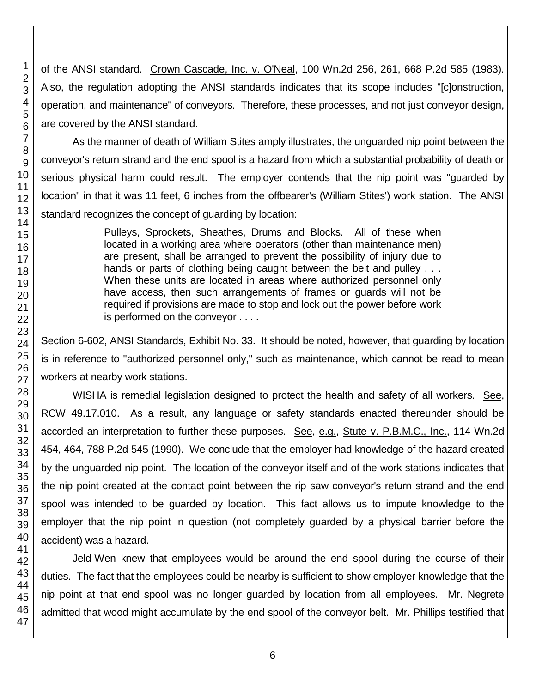of the ANSI standard. Crown Cascade, Inc. v. O'Neal, 100 Wn.2d 256, 261, 668 P.2d 585 (1983). Also, the regulation adopting the ANSI standards indicates that its scope includes "[c]onstruction, operation, and maintenance" of conveyors. Therefore, these processes, and not just conveyor design, are covered by the ANSI standard.

As the manner of death of William Stites amply illustrates, the unguarded nip point between the conveyor's return strand and the end spool is a hazard from which a substantial probability of death or serious physical harm could result. The employer contends that the nip point was "guarded by location" in that it was 11 feet, 6 inches from the offbearer's (William Stites') work station. The ANSI standard recognizes the concept of guarding by location:

> Pulleys, Sprockets, Sheathes, Drums and Blocks. All of these when located in a working area where operators (other than maintenance men) are present, shall be arranged to prevent the possibility of injury due to hands or parts of clothing being caught between the belt and pulley . . . When these units are located in areas where authorized personnel only have access, then such arrangements of frames or guards will not be required if provisions are made to stop and lock out the power before work is performed on the conveyor . . . .

Section 6-602, ANSI Standards, Exhibit No. 33. It should be noted, however, that guarding by location is in reference to "authorized personnel only," such as maintenance, which cannot be read to mean workers at nearby work stations.

WISHA is remedial legislation designed to protect the health and safety of all workers. See, RCW 49.17.010. As a result, any language or safety standards enacted thereunder should be accorded an interpretation to further these purposes. See, e.g., Stute v. P.B.M.C., Inc., 114 Wn.2d 454, 464, 788 P.2d 545 (1990). We conclude that the employer had knowledge of the hazard created by the unguarded nip point. The location of the conveyor itself and of the work stations indicates that the nip point created at the contact point between the rip saw conveyor's return strand and the end spool was intended to be guarded by location. This fact allows us to impute knowledge to the employer that the nip point in question (not completely guarded by a physical barrier before the accident) was a hazard.

Jeld-Wen knew that employees would be around the end spool during the course of their duties. The fact that the employees could be nearby is sufficient to show employer knowledge that the nip point at that end spool was no longer guarded by location from all employees. Mr. Negrete admitted that wood might accumulate by the end spool of the conveyor belt. Mr. Phillips testified that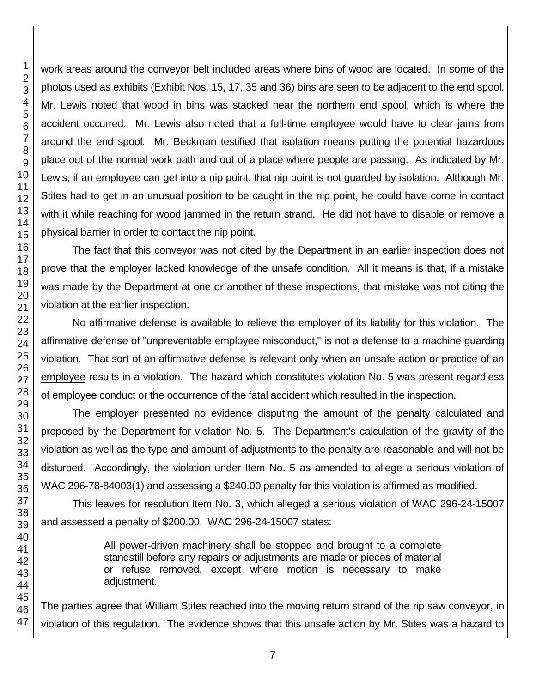work areas around the conveyor belt included areas where bins of wood are located. In some of the photos used as exhibits (Exhibit Nos. 15, 17, 35 and 36) bins are seen to be adjacent to the end spool. Mr. Lewis noted that wood in bins was stacked near the northern end spool, which is where the accident occurred. Mr. Lewis also noted that a full-time employee would have to clear jams from around the end spool. Mr. Beckman testified that isolation means putting the potential hazardous place out of the normal work path and out of a place where people are passing. As indicated by Mr. Lewis, if an employee can get into a nip point, that nip point is not guarded by isolation. Although Mr. Stites had to get in an unusual position to be caught in the nip point, he could have come in contact with it while reaching for wood jammed in the return strand. He did not have to disable or remove a physical barrier in order to contact the nip point.

The fact that this conveyor was not cited by the Department in an earlier inspection does not prove that the employer lacked knowledge of the unsafe condition. All it means is that, if a mistake was made by the Department at one or another of these inspections, that mistake was not citing the violation at the earlier inspection.

No affirmative defense is available to relieve the employer of its liability for this violation. The affirmative defense of "unpreventable employee misconduct," is not a defense to a machine guarding violation. That sort of an affirmative defense is relevant only when an unsafe action or practice of an employee results in a violation. The hazard which constitutes violation No. 5 was present regardless of employee conduct or the occurrence of the fatal accident which resulted in the inspection.

The employer presented no evidence disputing the amount of the penalty calculated and proposed by the Department for violation No. 5. The Department's calculation of the gravity of the violation as well as the type and amount of adjustments to the penalty are reasonable and will not be disturbed. Accordingly, the violation under Item No. 5 as amended to allege a serious violation of WAC 296-78-84003(1) and assessing a \$240.00 penalty for this violation is affirmed as modified.

This leaves for resolution Item No. 3, which alleged a serious violation of WAC 296-24-15007 and assessed a penalty of \$200.00. WAC 296-24-15007 states:

> All power-driven machinery shall be stopped and brought to a complete standstill before any repairs or adjustments are made or pieces of material or refuse removed, except where motion is necessary to make adjustment.

The parties agree that William Stites reached into the moving return strand of the rip saw conveyor, in violation of this regulation. The evidence shows that this unsafe action by Mr. Stites was a hazard to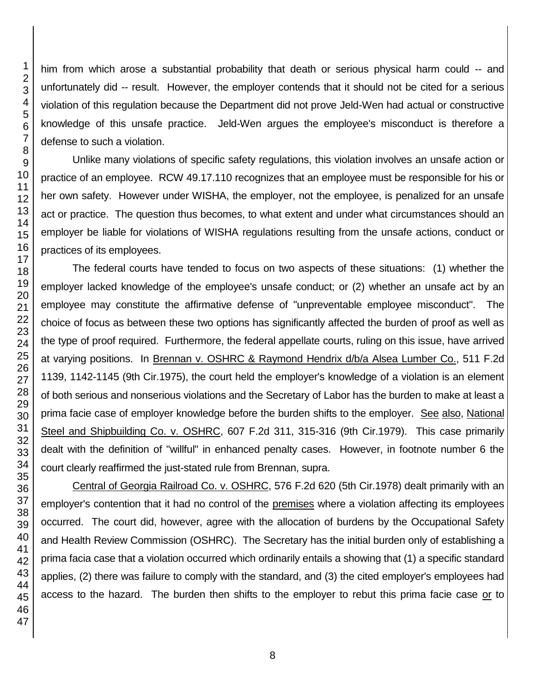him from which arose a substantial probability that death or serious physical harm could -- and unfortunately did -- result. However, the employer contends that it should not be cited for a serious violation of this regulation because the Department did not prove Jeld-Wen had actual or constructive knowledge of this unsafe practice. Jeld-Wen argues the employee's misconduct is therefore a defense to such a violation.

Unlike many violations of specific safety regulations, this violation involves an unsafe action or practice of an employee. RCW 49.17.110 recognizes that an employee must be responsible for his or her own safety. However under WISHA, the employer, not the employee, is penalized for an unsafe act or practice. The question thus becomes, to what extent and under what circumstances should an employer be liable for violations of WISHA regulations resulting from the unsafe actions, conduct or practices of its employees.

The federal courts have tended to focus on two aspects of these situations: (1) whether the employer lacked knowledge of the employee's unsafe conduct; or (2) whether an unsafe act by an employee may constitute the affirmative defense of "unpreventable employee misconduct". The choice of focus as between these two options has significantly affected the burden of proof as well as the type of proof required. Furthermore, the federal appellate courts, ruling on this issue, have arrived at varying positions. In Brennan v. OSHRC & Raymond Hendrix d/b/a Alsea Lumber Co., 511 F.2d 1139, 1142-1145 (9th Cir.1975), the court held the employer's knowledge of a violation is an element of both serious and nonserious violations and the Secretary of Labor has the burden to make at least a prima facie case of employer knowledge before the burden shifts to the employer. See also, National Steel and Shipbuilding Co. v. OSHRC, 607 F.2d 311, 315-316 (9th Cir.1979). This case primarily dealt with the definition of "willful" in enhanced penalty cases. However, in footnote number 6 the court clearly reaffirmed the just-stated rule from Brennan, supra.

Central of Georgia Railroad Co. v. OSHRC, 576 F.2d 620 (5th Cir.1978) dealt primarily with an employer's contention that it had no control of the premises where a violation affecting its employees occurred. The court did, however, agree with the allocation of burdens by the Occupational Safety and Health Review Commission (OSHRC). The Secretary has the initial burden only of establishing a prima facia case that a violation occurred which ordinarily entails a showing that (1) a specific standard applies, (2) there was failure to comply with the standard, and (3) the cited employer's employees had access to the hazard. The burden then shifts to the employer to rebut this prima facie case or to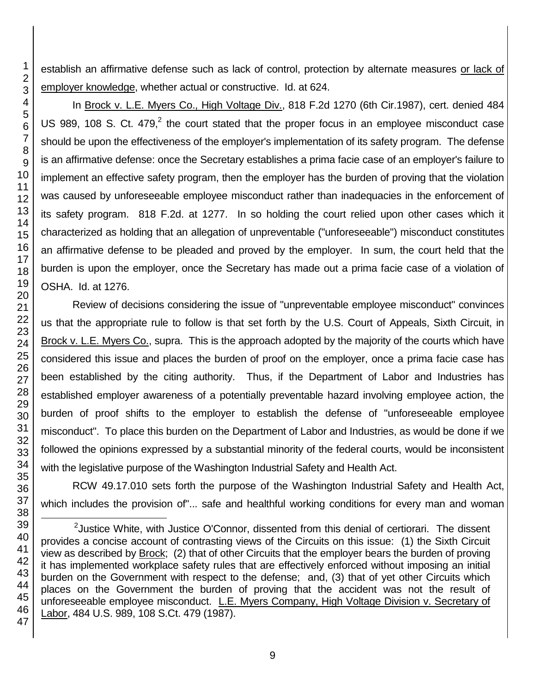establish an affirmative defense such as lack of control, protection by alternate measures or lack of employer knowledge, whether actual or constructive. Id. at 624.

In Brock v. L.E. Myers Co., High Voltage Div., 818 F.2d 1270 (6th Cir.1987), cert. denied 484 US 989, 108 S. Ct. 479, $2$  the court stated that the proper focus in an employee misconduct case should be upon the effectiveness of the employer's implementation of its safety program. The defense is an affirmative defense: once the Secretary establishes a prima facie case of an employer's failure to implement an effective safety program, then the employer has the burden of proving that the violation was caused by unforeseeable employee misconduct rather than inadequacies in the enforcement of its safety program. 818 F.2d. at 1277. In so holding the court relied upon other cases which it characterized as holding that an allegation of unpreventable ("unforeseeable") misconduct constitutes an affirmative defense to be pleaded and proved by the employer. In sum, the court held that the burden is upon the employer, once the Secretary has made out a prima facie case of a violation of OSHA. Id. at 1276.

Review of decisions considering the issue of "unpreventable employee misconduct" convinces us that the appropriate rule to follow is that set forth by the U.S. Court of Appeals, Sixth Circuit, in Brock v. L.E. Myers Co., supra. This is the approach adopted by the majority of the courts which have considered this issue and places the burden of proof on the employer, once a prima facie case has been established by the citing authority. Thus, if the Department of Labor and Industries has established employer awareness of a potentially preventable hazard involving employee action, the burden of proof shifts to the employer to establish the defense of "unforeseeable employee misconduct". To place this burden on the Department of Labor and Industries, as would be done if we followed the opinions expressed by a substantial minority of the federal courts, would be inconsistent with the legislative purpose of the Washington Industrial Safety and Health Act.

RCW 49.17.010 sets forth the purpose of the Washington Industrial Safety and Health Act, which includes the provision of"... safe and healthful working conditions for every man and woman

l <sup>2</sup> Justice White, with Justice O'Connor, dissented from this denial of certiorari. The dissent provides a concise account of contrasting views of the Circuits on this issue: (1) the Sixth Circuit view as described by Brock; (2) that of other Circuits that the employer bears the burden of proving it has implemented workplace safety rules that are effectively enforced without imposing an initial burden on the Government with respect to the defense; and, (3) that of yet other Circuits which places on the Government the burden of proving that the accident was not the result of unforeseeable employee misconduct. L.E. Myers Company, High Voltage Division v. Secretary of Labor, 484 U.S. 989, 108 S.Ct. 479 (1987).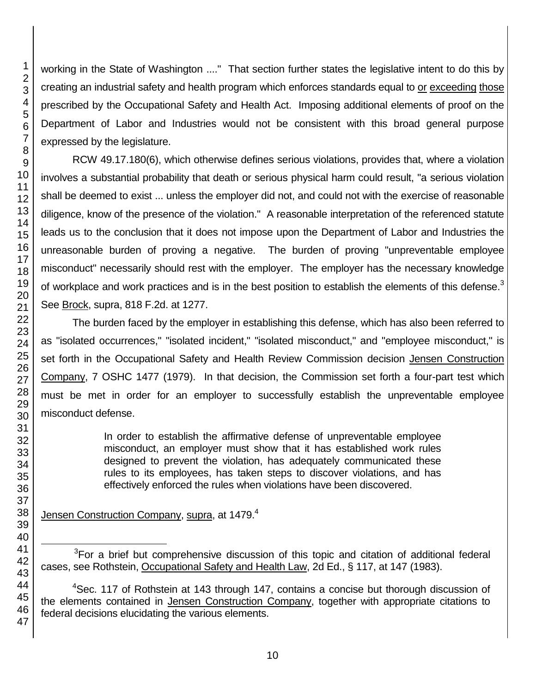working in the State of Washington ...." That section further states the legislative intent to do this by creating an industrial safety and health program which enforces standards equal to or exceeding those prescribed by the Occupational Safety and Health Act. Imposing additional elements of proof on the Department of Labor and Industries would not be consistent with this broad general purpose expressed by the legislature.

RCW 49.17.180(6), which otherwise defines serious violations, provides that, where a violation involves a substantial probability that death or serious physical harm could result, "a serious violation shall be deemed to exist ... unless the employer did not, and could not with the exercise of reasonable diligence, know of the presence of the violation." A reasonable interpretation of the referenced statute leads us to the conclusion that it does not impose upon the Department of Labor and Industries the unreasonable burden of proving a negative. The burden of proving "unpreventable employee misconduct" necessarily should rest with the employer. The employer has the necessary knowledge of workplace and work practices and is in the best position to establish the elements of this defense.<sup>3</sup> See Brock, supra, 818 F.2d. at 1277.

The burden faced by the employer in establishing this defense, which has also been referred to as "isolated occurrences," "isolated incident," "isolated misconduct," and "employee misconduct," is set forth in the Occupational Safety and Health Review Commission decision Jensen Construction Company, 7 OSHC 1477 (1979). In that decision, the Commission set forth a four-part test which must be met in order for an employer to successfully establish the unpreventable employee misconduct defense.

> In order to establish the affirmative defense of unpreventable employee misconduct, an employer must show that it has established work rules designed to prevent the violation, has adequately communicated these rules to its employees, has taken steps to discover violations, and has effectively enforced the rules when violations have been discovered.

Jensen Construction Company, supra, at 1479.<sup>4</sup>

For a brief but comprehensive discussion of this topic and citation of additional federal cases, see Rothstein, Occupational Safety and Health Law, 2d Ed., § 117, at 147 (1983).

<sup>&</sup>lt;sup>4</sup>Sec. 117 of Rothstein at 143 through 147, contains a concise but thorough discussion of the elements contained in Jensen Construction Company, together with appropriate citations to federal decisions elucidating the various elements.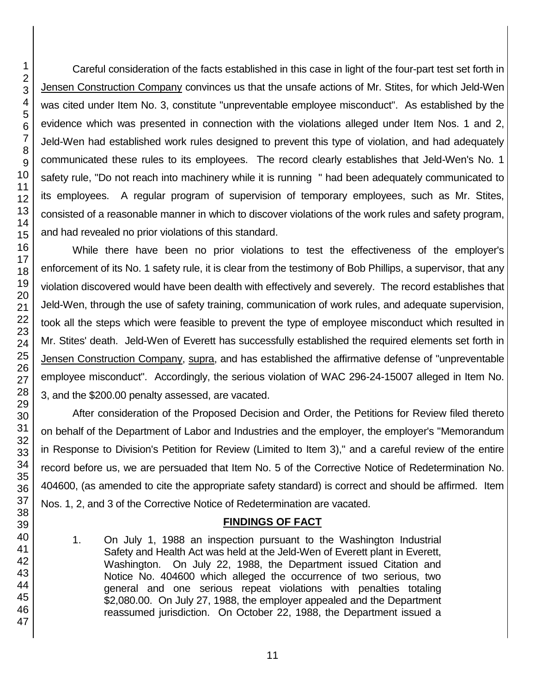Careful consideration of the facts established in this case in light of the four-part test set forth in Jensen Construction Company convinces us that the unsafe actions of Mr. Stites, for which Jeld-Wen was cited under Item No. 3, constitute "unpreventable employee misconduct". As established by the evidence which was presented in connection with the violations alleged under Item Nos. 1 and 2, Jeld-Wen had established work rules designed to prevent this type of violation, and had adequately communicated these rules to its employees. The record clearly establishes that Jeld-Wen's No. 1 safety rule, "Do not reach into machinery while it is running " had been adequately communicated to its employees. A regular program of supervision of temporary employees, such as Mr. Stites, consisted of a reasonable manner in which to discover violations of the work rules and safety program, and had revealed no prior violations of this standard.

While there have been no prior violations to test the effectiveness of the employer's enforcement of its No. 1 safety rule, it is clear from the testimony of Bob Phillips, a supervisor, that any violation discovered would have been dealth with effectively and severely. The record establishes that Jeld-Wen, through the use of safety training, communication of work rules, and adequate supervision, took all the steps which were feasible to prevent the type of employee misconduct which resulted in Mr. Stites' death. Jeld-Wen of Everett has successfully established the required elements set forth in Jensen Construction Company, supra, and has established the affirmative defense of "unpreventable employee misconduct". Accordingly, the serious violation of WAC 296-24-15007 alleged in Item No. 3, and the \$200.00 penalty assessed, are vacated.

After consideration of the Proposed Decision and Order, the Petitions for Review filed thereto on behalf of the Department of Labor and Industries and the employer, the employer's "Memorandum in Response to Division's Petition for Review (Limited to Item 3)," and a careful review of the entire record before us, we are persuaded that Item No. 5 of the Corrective Notice of Redetermination No. 404600, (as amended to cite the appropriate safety standard) is correct and should be affirmed. Item Nos. 1, 2, and 3 of the Corrective Notice of Redetermination are vacated.

# **FINDINGS OF FACT**

- 1. On July 1, 1988 an inspection pursuant to the Washington Industrial Safety and Health Act was held at the Jeld-Wen of Everett plant in Everett, Washington. On July 22, 1988, the Department issued Citation and Notice No. 404600 which alleged the occurrence of two serious, two general and one serious repeat violations with penalties totaling \$2,080.00. On July 27, 1988, the employer appealed and the Department reassumed jurisdiction. On October 22, 1988, the Department issued a
- 2 3 4 5 6 7 8 9 10 11 12 13 14 15 16 17 18 19 20 21 22 23 24 25 26 27 28 29 30 31 32 33 34 35 36 37 38 39 40 41 42 43 44 45 46 47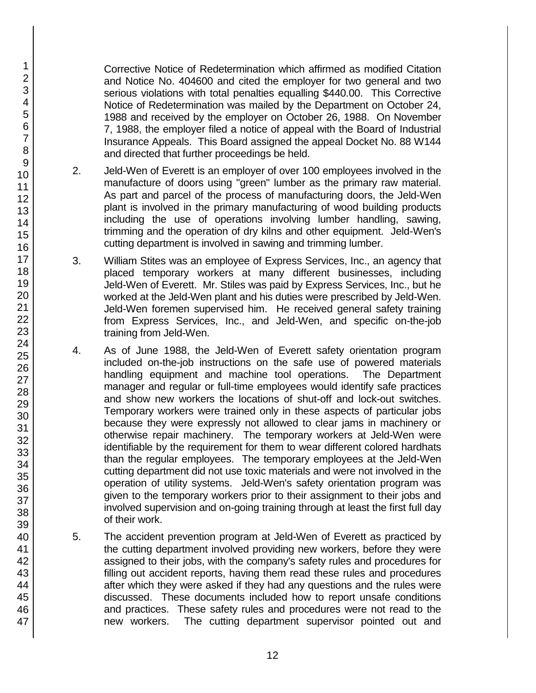Corrective Notice of Redetermination which affirmed as modified Citation and Notice No. 404600 and cited the employer for two general and two serious violations with total penalties equalling \$440.00. This Corrective Notice of Redetermination was mailed by the Department on October 24, 1988 and received by the employer on October 26, 1988. On November 7, 1988, the employer filed a notice of appeal with the Board of Industrial Insurance Appeals. This Board assigned the appeal Docket No. 88 W144 and directed that further proceedings be held.

- 2. Jeld-Wen of Everett is an employer of over 100 employees involved in the manufacture of doors using "green" lumber as the primary raw material. As part and parcel of the process of manufacturing doors, the Jeld-Wen plant is involved in the primary manufacturing of wood building products including the use of operations involving lumber handling, sawing, trimming and the operation of dry kilns and other equipment. Jeld-Wen's cutting department is involved in sawing and trimming lumber.
- 3. William Stites was an employee of Express Services, Inc., an agency that placed temporary workers at many different businesses, including Jeld-Wen of Everett. Mr. Stiles was paid by Express Services, Inc., but he worked at the Jeld-Wen plant and his duties were prescribed by Jeld-Wen. Jeld-Wen foremen supervised him. He received general safety training from Express Services, Inc., and Jeld-Wen, and specific on-the-job training from Jeld-Wen.
- 4. As of June 1988, the Jeld-Wen of Everett safety orientation program included on-the-job instructions on the safe use of powered materials handling equipment and machine tool operations. The Department manager and regular or full-time employees would identify safe practices and show new workers the locations of shut-off and lock-out switches. Temporary workers were trained only in these aspects of particular jobs because they were expressly not allowed to clear jams in machinery or otherwise repair machinery. The temporary workers at Jeld-Wen were identifiable by the requirement for them to wear different colored hardhats than the regular employees. The temporary employees at the Jeld-Wen cutting department did not use toxic materials and were not involved in the operation of utility systems. Jeld-Wen's safety orientation program was given to the temporary workers prior to their assignment to their jobs and involved supervision and on-going training through at least the first full day of their work.
- 5. The accident prevention program at Jeld-Wen of Everett as practiced by the cutting department involved providing new workers, before they were assigned to their jobs, with the company's safety rules and procedures for filling out accident reports, having them read these rules and procedures after which they were asked if they had any questions and the rules were discussed. These documents included how to report unsafe conditions and practices. These safety rules and procedures were not read to the new workers. The cutting department supervisor pointed out and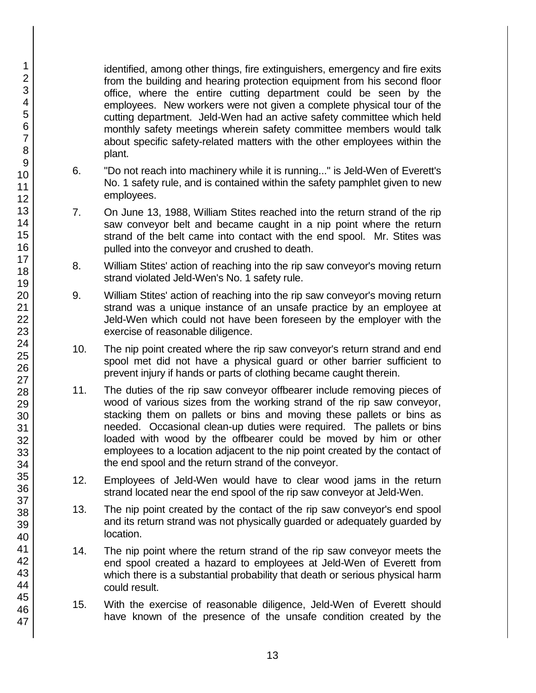identified, among other things, fire extinguishers, emergency and fire exits from the building and hearing protection equipment from his second floor office, where the entire cutting department could be seen by the employees. New workers were not given a complete physical tour of the cutting department. Jeld-Wen had an active safety committee which held monthly safety meetings wherein safety committee members would talk about specific safety-related matters with the other employees within the plant.

- 6. "Do not reach into machinery while it is running..." is Jeld-Wen of Everett's No. 1 safety rule, and is contained within the safety pamphlet given to new employees.
- 7. On June 13, 1988, William Stites reached into the return strand of the rip saw conveyor belt and became caught in a nip point where the return strand of the belt came into contact with the end spool. Mr. Stites was pulled into the conveyor and crushed to death.
- 8. William Stites' action of reaching into the rip saw conveyor's moving return strand violated Jeld-Wen's No. 1 safety rule.
- 9. William Stites' action of reaching into the rip saw conveyor's moving return strand was a unique instance of an unsafe practice by an employee at Jeld-Wen which could not have been foreseen by the employer with the exercise of reasonable diligence.
- 10. The nip point created where the rip saw conveyor's return strand and end spool met did not have a physical guard or other barrier sufficient to prevent injury if hands or parts of clothing became caught therein.
- 11. The duties of the rip saw conveyor offbearer include removing pieces of wood of various sizes from the working strand of the rip saw conveyor, stacking them on pallets or bins and moving these pallets or bins as needed. Occasional clean-up duties were required. The pallets or bins loaded with wood by the offbearer could be moved by him or other employees to a location adjacent to the nip point created by the contact of the end spool and the return strand of the conveyor.
- 12. Employees of Jeld-Wen would have to clear wood jams in the return strand located near the end spool of the rip saw conveyor at Jeld-Wen.
- 13. The nip point created by the contact of the rip saw conveyor's end spool and its return strand was not physically guarded or adequately guarded by location.
- 14. The nip point where the return strand of the rip saw conveyor meets the end spool created a hazard to employees at Jeld-Wen of Everett from which there is a substantial probability that death or serious physical harm could result.
- 15. With the exercise of reasonable diligence, Jeld-Wen of Everett should have known of the presence of the unsafe condition created by the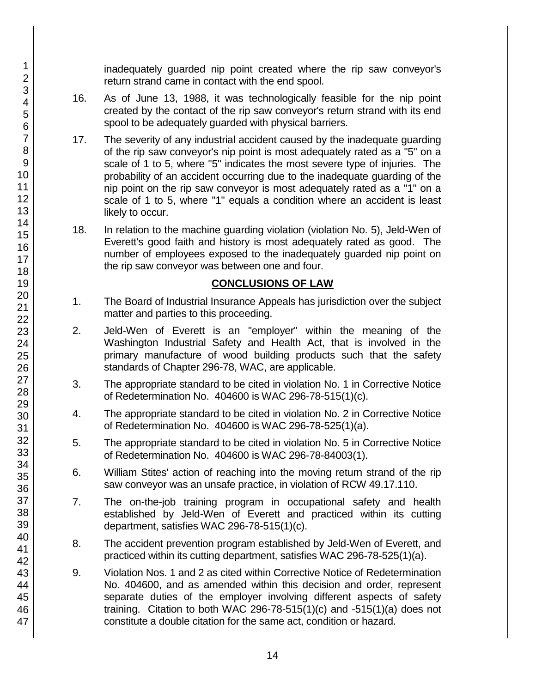inadequately guarded nip point created where the rip saw conveyor's return strand came in contact with the end spool.

- 16. As of June 13, 1988, it was technologically feasible for the nip point created by the contact of the rip saw conveyor's return strand with its end spool to be adequately guarded with physical barriers.
- 17. The severity of any industrial accident caused by the inadequate guarding of the rip saw conveyor's nip point is most adequately rated as a "5" on a scale of 1 to 5, where "5" indicates the most severe type of injuries. The probability of an accident occurring due to the inadequate guarding of the nip point on the rip saw conveyor is most adequately rated as a "1" on a scale of 1 to 5, where "1" equals a condition where an accident is least likely to occur.
- 18. In relation to the machine guarding violation (violation No. 5), Jeld-Wen of Everett's good faith and history is most adequately rated as good. The number of employees exposed to the inadequately guarded nip point on the rip saw conveyor was between one and four.

### **CONCLUSIONS OF LAW**

- 1. The Board of Industrial Insurance Appeals has jurisdiction over the subject matter and parties to this proceeding.
- 2. Jeld-Wen of Everett is an "employer" within the meaning of the Washington Industrial Safety and Health Act, that is involved in the primary manufacture of wood building products such that the safety standards of Chapter 296-78, WAC, are applicable.
- 3. The appropriate standard to be cited in violation No. 1 in Corrective Notice of Redetermination No. 404600 is WAC 296-78-515(1)(c).
- 4. The appropriate standard to be cited in violation No. 2 in Corrective Notice of Redetermination No. 404600 is WAC 296-78-525(1)(a).
- 5. The appropriate standard to be cited in violation No. 5 in Corrective Notice of Redetermination No. 404600 is WAC 296-78-84003(1).
- 6. William Stites' action of reaching into the moving return strand of the rip saw conveyor was an unsafe practice, in violation of RCW 49.17.110.
- 7. The on-the-job training program in occupational safety and health established by Jeld-Wen of Everett and practiced within its cutting department, satisfies WAC 296-78-515(1)(c).
- 8. The accident prevention program established by Jeld-Wen of Everett, and practiced within its cutting department, satisfies WAC 296-78-525(1)(a).
- 9. Violation Nos. 1 and 2 as cited within Corrective Notice of Redetermination No. 404600, and as amended within this decision and order, represent separate duties of the employer involving different aspects of safety training. Citation to both WAC 296-78-515(1)(c) and -515(1)(a) does not constitute a double citation for the same act, condition or hazard.